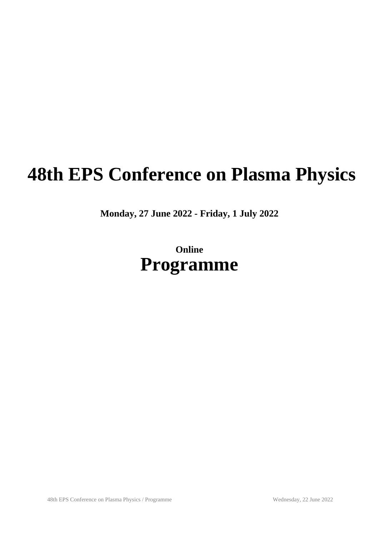# **48th EPS Conference on Plasma Physics**

**Monday, 27 June 2022 - Friday, 1 July 2022**

# **Online Programme**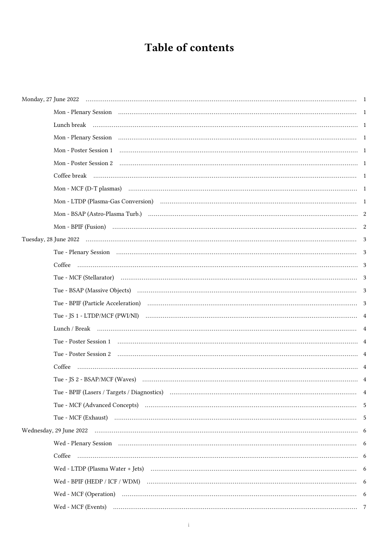# Table of contents

| Mon - Plenary Session (1) Contain the Contract of Container and Contain the Contract of Containing Containing t |  |
|-----------------------------------------------------------------------------------------------------------------|--|
|                                                                                                                 |  |
|                                                                                                                 |  |
|                                                                                                                 |  |
|                                                                                                                 |  |
|                                                                                                                 |  |
|                                                                                                                 |  |
|                                                                                                                 |  |
|                                                                                                                 |  |
|                                                                                                                 |  |
|                                                                                                                 |  |
|                                                                                                                 |  |
|                                                                                                                 |  |
|                                                                                                                 |  |
|                                                                                                                 |  |
|                                                                                                                 |  |
|                                                                                                                 |  |
|                                                                                                                 |  |
| Coffee                                                                                                          |  |
| Tue - JS 2 - BSAP/MCF (Waves)                                                                                   |  |
|                                                                                                                 |  |
|                                                                                                                 |  |
|                                                                                                                 |  |
|                                                                                                                 |  |
|                                                                                                                 |  |
|                                                                                                                 |  |
|                                                                                                                 |  |
|                                                                                                                 |  |
|                                                                                                                 |  |
|                                                                                                                 |  |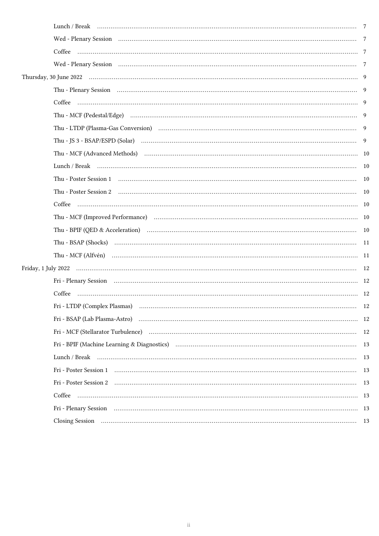| Fri - Plenary Session (120) (200) (200) (200) (200) (200) (200) (200) (200) (200) (200) (200) (200) (200) (200) (200) (200) (200) (200) (200) (200) (200) (200) (200) (200) (200) (200) (200) (200) (200) (200) (200) (200) (2 |    |
|--------------------------------------------------------------------------------------------------------------------------------------------------------------------------------------------------------------------------------|----|
|                                                                                                                                                                                                                                |    |
| Fri - LTDP (Complex Plasmas)                                                                                                                                                                                                   | 12 |
| Fri - BSAP (Lab Plasma-Astro) (120) (2003) (2004) (2013) (2014) (2014) (2018) (2018) (2018) (2018) (2018) (2019) (2019) (2019) (2019) (2019) (2019) (2019) (2019) (2019) (2019) (2019) (2019) (2019) (2019) (2019) (2019) (201 |    |
|                                                                                                                                                                                                                                |    |
|                                                                                                                                                                                                                                |    |
|                                                                                                                                                                                                                                |    |
|                                                                                                                                                                                                                                |    |
|                                                                                                                                                                                                                                |    |
|                                                                                                                                                                                                                                |    |
|                                                                                                                                                                                                                                |    |
|                                                                                                                                                                                                                                |    |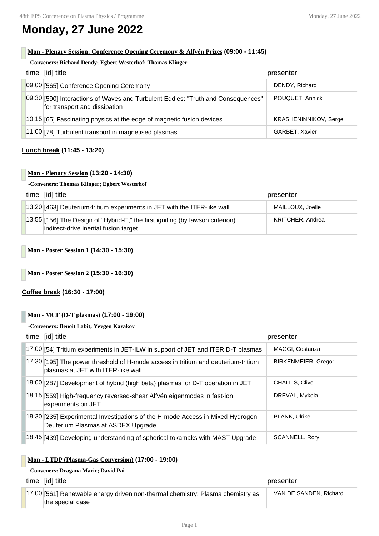# **Monday, 27 June 2022**

# **Mon - Plenary Session: Conference Opening Ceremony & Alfvén Prizes (09:00 - 11:45)**

#### **-Conveners: Richard Dendy; Egbert Westerhof; Thomas Klinger**

| time [id] title                                                                                                   | presenter              |
|-------------------------------------------------------------------------------------------------------------------|------------------------|
| 09:00 [565] Conference Opening Ceremony                                                                           | DENDY, Richard         |
| 09:30 [590] Interactions of Waves and Turbulent Eddies: "Truth and Consequences"<br>for transport and dissipation | POUOUET, Annick        |
| 10:15 [65] Fascinating physics at the edge of magnetic fusion devices                                             | KRASHENINNIKOV, Sergei |
| 11:00 [78] Turbulent transport in magnetised plasmas                                                              | GARBET, Xavier         |

#### **Lunch break (11:45 - 13:20)**

# **Mon - Plenary Session (13:20 - 14:30)**

#### **-Conveners: Thomas Klinger; Egbert Westerhof**

| time [id] title                                                                                                                 | presenter        |
|---------------------------------------------------------------------------------------------------------------------------------|------------------|
| $\vert$ 13:20 $\vert$ 463] Deuterium-tritium experiments in JET with the ITER-like wall                                         | MAILLOUX, Joelle |
| $\vert$ 13:55 [156] The Design of "Hybrid-E," the first igniting (by lawson criterion)<br>indirect-drive inertial fusion target | KRITCHER, Andrea |

# **Mon - Poster Session 1 (14:30 - 15:30)**

**Mon - Poster Session 2 (15:30 - 16:30)**

#### **Coffee break (16:30 - 17:00)**

# **Mon - MCF (D-T plasmas) (17:00 - 19:00)**

#### **-Conveners: Benoit Labit; Yevgen Kazakov**

| time [id] title                                                                                                         | presenter                  |
|-------------------------------------------------------------------------------------------------------------------------|----------------------------|
| 17:00 [54] Tritium experiments in JET-ILW in support of JET and ITER D-T plasmas                                        | MAGGI, Costanza            |
| 17:30 [195] The power threshold of H-mode access in tritium and deuterium-tritium<br>plasmas at JET with ITER-like wall | <b>BIRKENMEIER, Gregor</b> |
| 18:00 [287] Development of hybrid (high beta) plasmas for D-T operation in JET                                          | <b>CHALLIS, Clive</b>      |
| 18:15 [559] High-frequency reversed-shear Alfvén eigenmodes in fast-ion<br>experiments on JET                           | DREVAL, Mykola             |
| 18:30 [235] Experimental Investigations of the H-mode Access in Mixed Hydrogen-<br>Deuterium Plasmas at ASDEX Upgrade   | PLANK, Ulrike              |
| 18:45 [439] Developing understanding of spherical tokamaks with MAST Upgrade                                            | <b>SCANNELL, Rory</b>      |

#### **Mon - LTDP (Plasma-Gas Conversion) (17:00 - 19:00)**

### **-Conveners: Dragana Maric; David Pai**

time [id] title presenter

| 17:00 [561] Renewable energy driven non-thermal chemistry: Plasma chemistry as | VAN DE SANDEN, Richard |
|--------------------------------------------------------------------------------|------------------------|
| the special case                                                               |                        |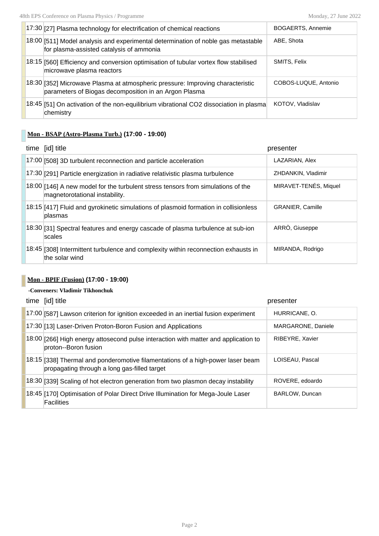| 17:30 [27] Plasma technology for electrification of chemical reactions                                                                  | <b>BOGAERTS, Annemie</b> |
|-----------------------------------------------------------------------------------------------------------------------------------------|--------------------------|
| 18:00 [511] Model analysis and experimental determination of noble gas metastable<br>for plasma-assisted catalysis of ammonia           | ABE, Shota               |
| 18:15 [560] Efficiency and conversion optimisation of tubular vortex flow stabilised<br>microwave plasma reactors                       | <b>SMITS, Felix</b>      |
| 18:30 [352] Microwave Plasma at atmospheric pressure: Improving characteristic<br>parameters of Biogas decomposition in an Argon Plasma | COBOS-LUQUE, Antonio     |
| $18.45$ [51] On activation of the non-equilibrium vibrational CO2 dissociation in plasma<br>chemistry                                   | KOTOV, Vladislav         |

# **Mon - BSAP (Astro-Plasma Turb.) (17:00 - 19:00)**

| time [id] title                                                                                                        | presenter               |
|------------------------------------------------------------------------------------------------------------------------|-------------------------|
| 17:00 [508] 3D turbulent reconnection and particle acceleration                                                        | LAZARIAN, Alex          |
| 17:30 [291] Particle energization in radiative relativistic plasma turbulence                                          | ZHDANKIN, Vladimir      |
| $[18:00]$ [146] A new model for the turbulent stress tensors from simulations of the<br>magnetorotational instability. | MIRAVET-TENÉS, Miquel   |
| 18:15 [417] Fluid and gyrokinetic simulations of plasmoid formation in collisionless<br>plasmas                        | <b>GRANIER, Camille</b> |
| 18:30 [31] Spectral features and energy cascade of plasma turbulence at sub-ion<br>scales                              | ARRÒ, Giuseppe          |
| 18:45 [308] Intermittent turbulence and complexity within reconnection exhausts in<br>the solar wind                   | MIRANDA, Rodrigo        |

# **Mon - BPIF (Fusion) (17:00 - 19:00)**

# **-Conveners: Vladimir Tikhonchuk**

| time [id] title                                                                                                                 | presenter          |
|---------------------------------------------------------------------------------------------------------------------------------|--------------------|
| 17:00 [587] Lawson criterion for ignition exceeded in an inertial fusion experiment                                             | HURRICANE, O.      |
| 17:30 [13] Laser-Driven Proton-Boron Fusion and Applications                                                                    | MARGARONE, Daniele |
| 18:00 [266] High energy attosecond pulse interaction with matter and application to<br>proton--Boron fusion                     | RIBEYRE, Xavier    |
| 18:15 [338] Thermal and ponderomotive filamentations of a high-power laser beam<br>propagating through a long gas-filled target | LOISEAU, Pascal    |
| [18:30] [339] Scaling of hot electron generation from two plasmon decay instability                                             | ROVERE, edoardo    |
| 18:45 [170] Optimisation of Polar Direct Drive Illumination for Mega-Joule Laser<br>Facilities                                  | BARLOW, Duncan     |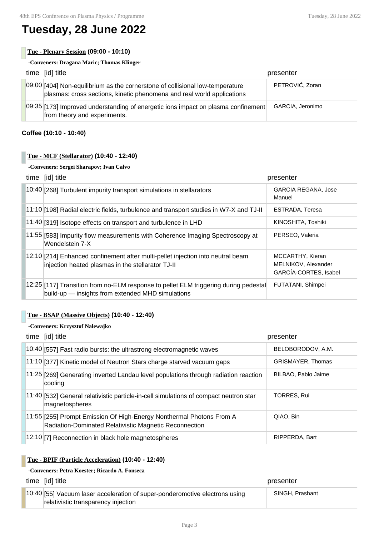# **Tuesday, 28 June 2022**

**Tue - Plenary Session (09:00 - 10:10)**

| -Conveners: Dragana Maric; Thomas Klinger |                                                                                                                                                         |                  |
|-------------------------------------------|---------------------------------------------------------------------------------------------------------------------------------------------------------|------------------|
|                                           | time [id] title                                                                                                                                         | presenter        |
|                                           | 09:00 [404] Non-equilibrium as the cornerstone of collisional low-temperature<br>plasmas: cross sections, kinetic phenomena and real world applications | PETROVIĆ, Zoran  |
|                                           | $[09:35]$ [173] Improved understanding of energetic ions impact on plasma confinement<br>from theory and experiments.                                   | GARCIA, Jeronimo |

# **Coffee (10:10 - 10:40)**

### **Tue - MCF (Stellarator) (10:40 - 12:40)**

#### **-Conveners: Sergei Sharapov; Ivan Calvo**

| time [id] title                                                                                                                             | presenter                                                        |
|---------------------------------------------------------------------------------------------------------------------------------------------|------------------------------------------------------------------|
| 10:40 [268] Turbulent impurity transport simulations in stellarators                                                                        | <b>GARCIA REGANA, Jose</b><br>Manuel                             |
| $11:10$ [198] Radial electric fields, turbulence and transport studies in W7-X and TJ-II                                                    | ESTRADA, Teresa                                                  |
| 11:40 [319] Isotope effects on transport and turbulence in LHD                                                                              | KINOSHITA, Toshiki                                               |
| 11:55 [583] Impurity flow measurements with Coherence Imaging Spectroscopy at<br>Wendelstein 7-X                                            | PERSEO, Valeria                                                  |
| 12:10 [214] Enhanced confinement after multi-pellet injection into neutral beam<br>injection heated plasmas in the stellarator TJ-II        | MCCARTHY, Kieran<br>MELNIKOV, Alexander<br>GARCÍA-CORTES, Isabel |
| [12:25] [117] Transition from no-ELM response to pellet ELM triggering during pedestal<br>build-up - insights from extended MHD simulations | FUTATANI, Shimpei                                                |

# **Tue - BSAP (Massive Objects) (10:40 - 12:40)**

#### **-Conveners: Krzysztof Nalewajko**

| time [id] title                                                                                                                | presenter                |
|--------------------------------------------------------------------------------------------------------------------------------|--------------------------|
| 10:40 [557] Fast radio bursts: the ultrastrong electromagnetic waves                                                           | BELOBORODOV, A.M.        |
| 11:10 [377] Kinetic model of Neutron Stars charge starved vacuum gaps                                                          | <b>GRISMAYER, Thomas</b> |
| 11:25 [269] Generating inverted Landau level populations through radiation reaction<br>cooling                                 | BILBAO, Pablo Jaime      |
| 11:40 [532] General relativistic particle-in-cell simulations of compact neutron star<br>magnetospheres                        | <b>TORRES, Rui</b>       |
| 11:55 [255] Prompt Emission Of High-Energy Nonthermal Photons From A<br>Radiation-Dominated Relativistic Magnetic Reconnection | OIAO, Bin                |
| 12:10 [7] Reconnection in black hole magnetospheres                                                                            | RIPPERDA, Bart           |

# **Tue - BPIF (Particle Acceleration) (10:40 - 12:40)**

# **-Conveners: Petra Koester; Ricardo A. Fonseca**

| time [id] title                                                                                                    | presenter       |
|--------------------------------------------------------------------------------------------------------------------|-----------------|
| 10:40 [55] Vacuum laser acceleration of super-ponderomotive electrons using<br>relativistic transparency injection | SINGH, Prashant |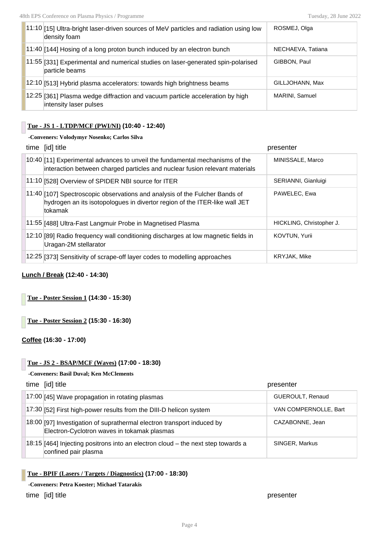| 11:10 [15] Ultra-bright laser-driven sources of MeV particles and radiation using low<br>density foam   | ROSMEJ, Olga      |
|---------------------------------------------------------------------------------------------------------|-------------------|
| $11:40$ [144] Hosing of a long proton bunch induced by an electron bunch                                | NECHAEVA, Tatiana |
| 11:55 [331] Experimental and numerical studies on laser-generated spin-polarised<br>particle beams      | GIBBON, Paul      |
| 12:10 [513] Hybrid plasma accelerators: towards high brightness beams                                   | GILLJOHANN, Max   |
| 12:25 [361] Plasma wedge diffraction and vacuum particle acceleration by high<br>intensity laser pulses | MARINI, Samuel    |

#### **Tue - JS 1 - LTDP/MCF (PWI/NI) (10:40 - 12:40)**

**-Conveners: Volodymyr Nosenko; Carlos Silva**

|  | time [id] title                                                                                                                                                      | presenter                |
|--|----------------------------------------------------------------------------------------------------------------------------------------------------------------------|--------------------------|
|  | 10:40 [11] Experimental advances to unveil the fundamental mechanisms of the<br>interaction between charged particles and nuclear fusion relevant materials          | MINISSALE, Marco         |
|  | 11:10 [528] Overview of SPIDER NBI source for ITER                                                                                                                   | SERIANNI, Gianluigi      |
|  | 11:40 [107] Spectroscopic observations and analysis of the Fulcher Bands of<br>hydrogen an its isotopologues in divertor region of the ITER-like wall JET<br>tokamak | PAWELEC, Ewa             |
|  | 11:55 [488] Ultra-Fast Langmuir Probe in Magnetised Plasma                                                                                                           | HICKLING, Christopher J. |
|  | 12:10 [89] Radio frequency wall conditioning discharges at low magnetic fields in<br>Uragan-2M stellarator                                                           | <b>KOVTUN, Yurii</b>     |
|  | 12:25 [373] Sensitivity of scrape-off layer codes to modelling approaches                                                                                            | KRYJAK, Mike             |

#### **Lunch / Break (12:40 - 14:30)**

**Tue - Poster Session 1 (14:30 - 15:30)**

**Tue - Poster Session 2 (15:30 - 16:30)**

**Coffee (16:30 - 17:00)**

### **Tue - JS 2 - BSAP/MCF (Waves) (17:00 - 18:30)**

#### **-Conveners: Basil Duval; Ken McClements**

| time [id] title                                                                                                       | presenter             |
|-----------------------------------------------------------------------------------------------------------------------|-----------------------|
| 17:00 [45] Wave propagation in rotating plasmas                                                                       | GUEROULT, Renaud      |
| 17:30 [52] First high-power results from the DIII-D helicon system                                                    | VAN COMPERNOLLE, Bart |
| 18:00 [97] Investigation of suprathermal electron transport induced by<br>Electron-Cyclotron waves in tokamak plasmas | CAZABONNE, Jean       |
| 18:15 [464] Injecting positrons into an electron cloud – the next step towards a<br>confined pair plasma              | SINGER, Markus        |

#### **Tue - BPIF (Lasers / Targets / Diagnostics) (17:00 - 18:30)**

**-Conveners: Petra Koester; Michael Tatarakis**

time [id] title presenter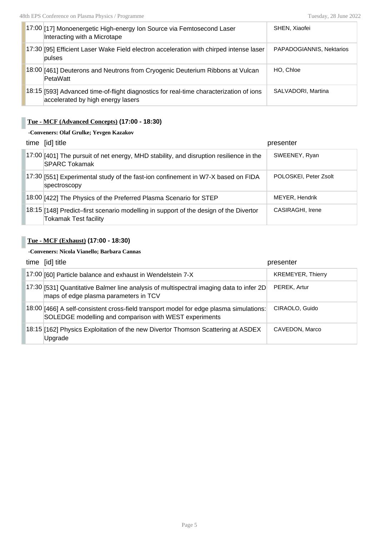| 17:00 [17] Monoenergetic High-energy Ion Source via Femtosecond Laser<br>Interacting with a Microtape                       | SHEN, Xiaofei            |
|-----------------------------------------------------------------------------------------------------------------------------|--------------------------|
| 17:30 [95] Efficient Laser Wake Field electron acceleration with chirped intense laser<br>pulses                            | PAPADOGIANNIS, Nektarios |
| 18:00 [461] Deuterons and Neutrons from Cryogenic Deuterium Ribbons at Vulcan<br>PetaWatt                                   | HO. Chloe                |
| 18:15 [593] Advanced time-of-flight diagnostics for real-time characterization of ions<br>accelerated by high energy lasers | SALVADORI, Martina       |

# **Tue - MCF (Advanced Concepts) (17:00 - 18:30)**

### **-Conveners: Olaf Grulke; Yevgen Kazakov**

| time [id] title                                                                                                       | presenter             |
|-----------------------------------------------------------------------------------------------------------------------|-----------------------|
| 17:00 [401] The pursuit of net energy, MHD stability, and disruption resilience in the<br><b>SPARC Tokamak</b>        | SWEENEY, Ryan         |
| 17:30 [551] Experimental study of the fast-ion confinement in W7-X based on FIDA<br>spectroscopy                      | POLOSKEI, Peter Zsolt |
| 18:00 [422] The Physics of the Preferred Plasma Scenario for STEP                                                     | MEYER, Hendrik        |
| 18:15 [148] Predict-first scenario modelling in support of the design of the Divertor<br><b>Tokamak Test facility</b> | CASIRAGHI, Irene      |

# **Tue - MCF (Exhaust) (17:00 - 18:30)**

# **-Conveners: Nicola Vianello; Barbara Cannas**

| time [id] title                                                                                                                                  | presenter                |
|--------------------------------------------------------------------------------------------------------------------------------------------------|--------------------------|
| 17:00 [60] Particle balance and exhaust in Wendelstein 7-X                                                                                       | <b>KREMEYER, Thierry</b> |
| 17:30 [531] Quantitative Balmer line analysis of multispectral imaging data to infer 2D<br>maps of edge plasma parameters in TCV                 | PEREK, Artur             |
| 18:00 [466] A self-consistent cross-field transport model for edge plasma simulations:<br>SOLEDGE modelling and comparison with WEST experiments | CIRAOLO, Guido           |
| 18:15 [162] Physics Exploitation of the new Divertor Thomson Scattering at ASDEX<br>Upgrade                                                      | CAVEDON, Marco           |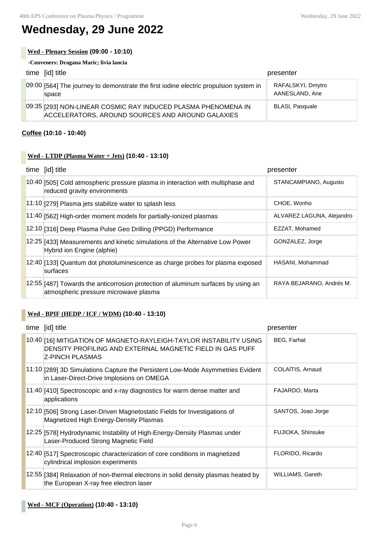# **Wednesday, 29 June 2022**

# **Wed - Plenary Session (09:00 - 10:10)**

**-Conveners: Dragana Maric; livia lancia**

| time [id] title                                                                                                   | presenter                           |
|-------------------------------------------------------------------------------------------------------------------|-------------------------------------|
| 09:00 [564] The journey to demonstrate the first iodine electric propulsion system in<br>space                    | RAFALSKYI, Dmytro<br>AANESLAND, Ane |
| 09:35 [293] NON-LINEAR COSMIC RAY INDUCED PLASMA PHENOMENA IN<br>ACCELERATORS, AROUND SOURCES AND AROUND GALAXIES | <b>BLASI, Pasquale</b>              |

# **Coffee (10:10 - 10:40)**

# **Wed - LTDP (Plasma Water + Jets) (10:40 - 13:10)**

| time [id] title                                                                                                            | presenter                 |
|----------------------------------------------------------------------------------------------------------------------------|---------------------------|
| 10:40 [505] Cold atmospheric pressure plasma in interaction with multiphase and<br>reduced gravity environments            | STANCAMPIANO, Augusto     |
| 11:10 [279] Plasma jets stabilize water to splash less                                                                     | CHOE, Wonho               |
| 11:40 [562] High-order moment models for partially-ionized plasmas                                                         | ALVAREZ LAGUNA, Alejandro |
| 12:10 [316] Deep Plasma Pulse Geo Drilling (PPGD) Performance                                                              | EZZAT, Mohamed            |
| $[12:25]$ [433] Measurements and kinetic simulations of the Alternative Low Power<br>Hybrid ion Engine (alphie)            | GONZALEZ, Jorge           |
| 12:40 [133] Quantum dot photoluminescence as charge probes for plasma exposed<br>surfaces                                  | HASANI, Mohammad          |
| 12:55 [487] Towards the anticorrosion protection of aluminum surfaces by using an<br>atmospheric pressure microwave plasma | RAYA BEJARANO, Andrés M.  |

# **Wed - BPIF (HEDP / ICF / WDM) (10:40 - 13:10)**

| time [id] title                                                                                                                                    | presenter               |
|----------------------------------------------------------------------------------------------------------------------------------------------------|-------------------------|
| 10:40 [16] MITIGATION OF MAGNETO-RAYLEIGH-TAYLOR INSTABILITY USING<br>DENSITY PROFILING AND EXTERNAL MAGNETIC FIELD IN GAS PUFF<br>Z-PINCH PLASMAS | <b>BEG, Farhat</b>      |
| 11:10 [289] 3D Simulations Capture the Persistent Low-Mode Asymmetries Evident<br>in Laser-Direct-Drive Implosions on OMEGA                        | COLAÏTIS, Arnaud        |
| $11:40$ [410] Spectroscopic and x-ray diagnostics for warm dense matter and<br>applications                                                        | FAJARDO, Marta          |
| 12:10 [506] Strong Laser-Driven Magnetostatic Fields for Investigations of<br>Magnetized High Energy-Density Plasmas                               | SANTOS, Joao Jorge      |
| 12:25 [578] Hydrodynamic Instability of High-Energy-Density Plasmas under<br>Laser-Produced Strong Magnetic Field                                  | FUJIOKA, Shinsuke       |
| 12:40 [517] Spectroscopic characterization of core conditions in magnetized<br>cylindrical implosion experiments                                   | FLORIDO, Ricardo        |
| 12:55 [384] Relaxation of non-thermal electrons in solid density plasmas heated by<br>the European X-ray free electron laser                       | <b>WILLIAMS, Gareth</b> |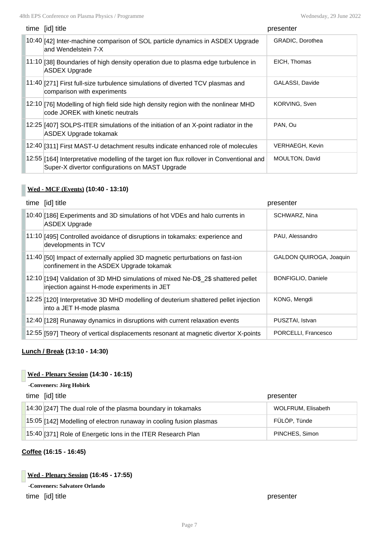| time [id] title                                                                                                                             | presenter               |
|---------------------------------------------------------------------------------------------------------------------------------------------|-------------------------|
| 10:40 [42] Inter-machine comparison of SOL particle dynamics in ASDEX Upgrade<br>and Wendelstein 7-X                                        | <b>GRADIC, Dorothea</b> |
| 11:10 [38] Boundaries of high density operation due to plasma edge turbulence in<br><b>ASDEX Upgrade</b>                                    | EICH, Thomas            |
| 11:40 [271] First full-size turbulence simulations of diverted TCV plasmas and<br>comparison with experiments                               | GALASSI, Davide         |
| 12:10 [76] Modelling of high field side high density region with the nonlinear MHD<br>code JOREK with kinetic neutrals                      | KORVING, Sven           |
| $12:25$ $[407]$ SOLPS-ITER simulations of the initiation of an X-point radiator in the<br><b>ASDEX Upgrade tokamak</b>                      | PAN, Ou                 |
| 12:40 [311] First MAST-U detachment results indicate enhanced role of molecules                                                             | VERHAEGH, Kevin         |
| 12:55 [164] Interpretative modelling of the target ion flux rollover in Conventional and<br>Super-X divertor configurations on MAST Upgrade | <b>MOULTON, David</b>   |

# **Wed - MCF (Events) (10:40 - 13:10)**

| time [id] title                                                                                                                  | presenter                      |
|----------------------------------------------------------------------------------------------------------------------------------|--------------------------------|
| 10:40 [186] Experiments and 3D simulations of hot VDEs and halo currents in<br><b>ASDEX Upgrade</b>                              | SCHWARZ, Nina                  |
| 11:10 [495] Controlled avoidance of disruptions in tokamaks: experience and<br>developments in TCV                               | PAU, Alessandro                |
| 11:40 [50] Impact of externally applied 3D magnetic perturbations on fast-ion<br>confinement in the ASDEX Upgrade tokamak        | <b>GALDON OUIROGA, Joaquin</b> |
| 12:10 [194] Validation of 3D MHD simulations of mixed Ne-D\$ 2\$ shattered pellet<br>injection against H-mode experiments in JET | BONFIGLIO, Daniele             |
| 12:25 [120] Interpretative 3D MHD modelling of deuterium shattered pellet injection<br>into a JET H-mode plasma                  | KONG, Mengdi                   |
| 12:40 [128] Runaway dynamics in disruptions with current relaxation events                                                       | PUSZTAI, Istvan                |
| 12:55 [597] Theory of vertical displacements resonant at magnetic divertor X-points                                              | PORCELLI, Francesco            |

# **Lunch / Break (13:10 - 14:30)**

# **Wed - Plenary Session (14:30 - 16:15)**

# **-Conveners: Jörg Hobirk**

| time [id] title                                                     | presenter          |
|---------------------------------------------------------------------|--------------------|
| $14:30$ [247] The dual role of the plasma boundary in tokamaks      | WOLFRUM, Elisabeth |
| 15:05 [142] Modelling of electron runaway in cooling fusion plasmas | FÜLÖP, Tünde       |
| 15:40 [371] Role of Energetic lons in the ITER Research Plan        | PINCHES, Simon     |

# **Coffee (16:15 - 16:45)**

#### **Wed - Plenary Session (16:45 - 17:55)**

#### **-Conveners: Salvatore Orlando**

time [id] title presenter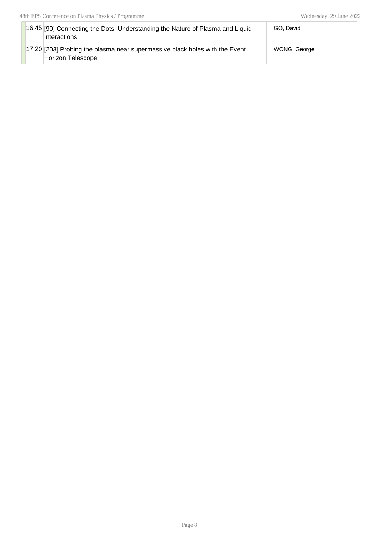| 16:45 [90] Connecting the Dots: Understanding the Nature of Plasma and Liquid<br><b>Interactions</b>     | GO. David    |
|----------------------------------------------------------------------------------------------------------|--------------|
| $\vert$ 17:20 [203] Probing the plasma near supermassive black holes with the Event<br>Horizon Telescope | WONG, George |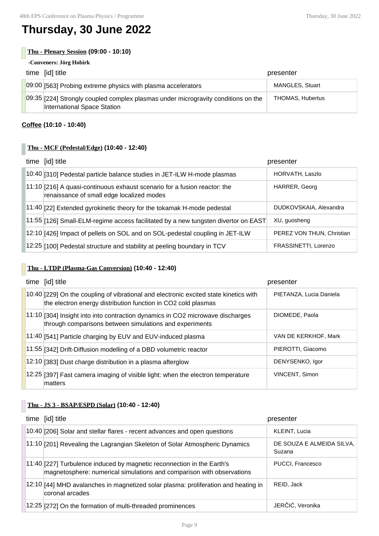# **Thursday, 30 June 2022**

# **Thu - Plenary Session (09:00 - 10:10)**

**-Conveners: Jörg Hobirk**

| time [id] title                                                                                                  | presenter               |
|------------------------------------------------------------------------------------------------------------------|-------------------------|
| 09:00 [563] Probing extreme physics with plasma accelerators                                                     | <b>MANGLES, Stuart</b>  |
| 09:35 [224] Strongly coupled complex plasmas under microgravity conditions on the<br>International Space Station | <b>THOMAS. Hubertus</b> |

# **Coffee (10:10 - 10:40)**

# **Thu - MCF (Pedestal/Edge) (10:40 - 12:40)**

| time [id] title                                                                                                        | presenter                 |
|------------------------------------------------------------------------------------------------------------------------|---------------------------|
| 10:40 [310] Pedestal particle balance studies in JET-ILW H-mode plasmas                                                | HORVATH, Laszlo           |
| 11:10 [216] A quasi-continuous exhaust scenario for a fusion reactor: the<br>renaissance of small edge localized modes | HARRER, Georg             |
| 11:40 [22] Extended gyrokinetic theory for the tokamak H-mode pedestal                                                 | DUDKOVSKAIA, Alexandra    |
| 11:55 [126] Small-ELM-regime access facilitated by a new tungsten divertor on EAST                                     | XU, quosheng              |
| 12:10 [426] Impact of pellets on SOL and on SOL-pedestal coupling in JET-ILW                                           | PEREZ VON THUN, Christian |
| 12:25 [100] Pedestal structure and stability at peeling boundary in TCV                                                | FRASSINETTI, Lorenzo      |

# **Thu - LTDP (Plasma-Gas Conversion) (10:40 - 12:40)**

| time [id] title                                                                                                                                        | presenter               |
|--------------------------------------------------------------------------------------------------------------------------------------------------------|-------------------------|
| 10:40 [229] On the coupling of vibrational and electronic excited state kinetics with<br>the electron energy distribution function in CO2 cold plasmas | PIETANZA, Lucia Daniela |
| 11:10 [304] Insight into into contraction dynamics in CO2 microwave discharges<br>through comparisons between simulations and experiments              | DIOMEDE, Paola          |
| 11:40 [541] Particle charging by EUV and EUV-induced plasma                                                                                            | VAN DE KERKHOF, Mark    |
| 11:55 [342] Drift-Diffusion modelling of a DBD volumetric reactor                                                                                      | PIEROTTI, Giacomo       |
| 12:10 [383] Dust charge distribution in a plasma afterglow                                                                                             | DENYSENKO, Igor         |
| 12:25 [397] Fast camera imaging of visible light: when the electron temperature<br>matters                                                             | VINCENT, Simon          |

# **Thu - JS 3 - BSAP/ESPD (Solar) (10:40 - 12:40)**

| time [id] title                                                                                                                                 | presenter                           |
|-------------------------------------------------------------------------------------------------------------------------------------------------|-------------------------------------|
| 10:40 [206] Solar and stellar flares - recent advances and open questions                                                                       | KLEINT, Lucia                       |
| 11:10 [201] Revealing the Lagrangian Skeleton of Solar Atmospheric Dynamics                                                                     | DE SOUZA E ALMEIDA SILVA,<br>Suzana |
| 11:40 [227] Turbulence induced by magnetic reconnection in the Earth's<br>magnetosphere: numerical simulations and comparison with observations | PUCCI, Francesco                    |
| $12:10$ [44] MHD avalanches in magnetized solar plasma: proliferation and heating in<br>coronal arcades                                         | REID, Jack                          |
| 12:25 [272] On the formation of multi-threaded prominences                                                                                      | JERČIĆ, Veronika                    |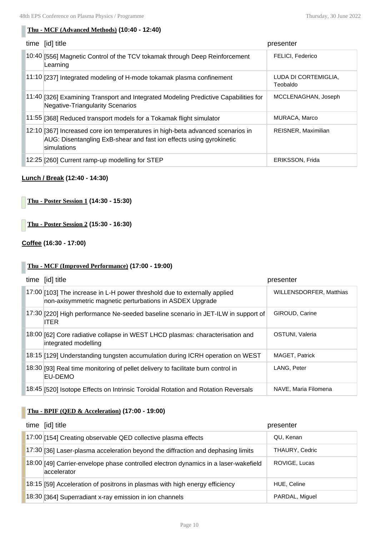# **Thu - MCF (Advanced Methods) (10:40 - 12:40)**

| [id] title<br>time                                                                                                                                                     | presenter                        |
|------------------------------------------------------------------------------------------------------------------------------------------------------------------------|----------------------------------|
| 10:40 [556] Magnetic Control of the TCV tokamak through Deep Reinforcement<br>Learning                                                                                 | <b>FELICI, Federico</b>          |
| 11:10 [237] Integrated modeling of H-mode tokamak plasma confinement                                                                                                   | LUDA DI CORTEMIGLIA.<br>Teobaldo |
| 11:40 [326] Examining Transport and Integrated Modeling Predictive Capabilities for<br><b>Negative-Triangularity Scenarios</b>                                         | MCCLENAGHAN, Joseph              |
| 11:55 [368] Reduced transport models for a Tokamak flight simulator                                                                                                    | MURACA, Marco                    |
| $12:10$ [367] Increased core ion temperatures in high-beta advanced scenarios in<br>AUG: Disentangling ExB-shear and fast ion effects using gyrokinetic<br>simulations | REISNER, Maximilian              |
| 12:25 [260] Current ramp-up modelling for STEP                                                                                                                         | ERIKSSON, Frida                  |

# **Lunch / Break (12:40 - 14:30)**

**Thu - Poster Session 1 (14:30 - 15:30)**

**Thu - Poster Session 2 (15:30 - 16:30)**

# **Coffee (16:30 - 17:00)**

# **Thu - MCF (Improved Performance) (17:00 - 19:00)**

| time [id] title                                                                                                                       | presenter                      |
|---------------------------------------------------------------------------------------------------------------------------------------|--------------------------------|
| 17:00 [103] The increase in L-H power threshold due to externally applied<br>non-axisymmetric magnetic perturbations in ASDEX Upgrade | <b>WILLENSDORFER, Matthias</b> |
| 17:30 [220] High performance Ne-seeded baseline scenario in JET-ILW in support of<br><b>ITER</b>                                      | GIROUD, Carine                 |
| 18:00 [62] Core radiative collapse in WEST LHCD plasmas: characterisation and<br>integrated modelling                                 | OSTUNI, Valeria                |
| 18:15 [129] Understanding tungsten accumulation during ICRH operation on WEST                                                         | <b>MAGET, Patrick</b>          |
| 18:30 [93] Real time monitoring of pellet delivery to facilitate burn control in<br>EU-DEMO                                           | LANG, Peter                    |
| 18:45 [520] Isotope Effects on Intrinsic Toroidal Rotation and Rotation Reversals                                                     | NAVE, Maria Filomena           |

# **Thu - BPIF (QED & Acceleration) (17:00 - 19:00)**

| time [id] title                                                                                    | presenter      |
|----------------------------------------------------------------------------------------------------|----------------|
| 17:00 [154] Creating observable QED collective plasma effects                                      | OU, Kenan      |
| 17:30 [36] Laser-plasma acceleration beyond the diffraction and dephasing limits                   | THAURY, Cedric |
| 18:00 [49] Carrier-envelope phase controlled electron dynamics in a laser-wakefield<br>accelerator | ROVIGE, Lucas  |
| 18:15 [59] Acceleration of positrons in plasmas with high energy efficiency                        | HUE, Celine    |
| 18:30 [364] Superradiant x-ray emission in ion channels                                            | PARDAL, Miguel |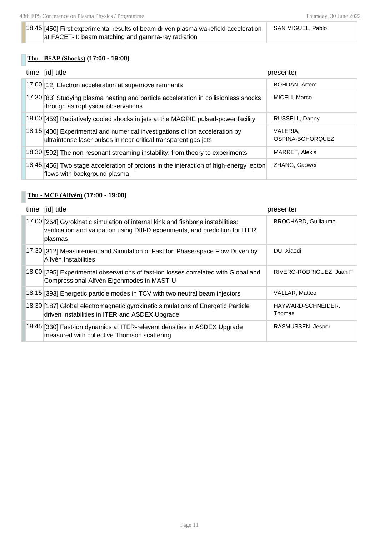#### 18:45 [450] First experimental results of beam driven plasma wakefield acceleration at FACET-II: beam matching and gamma-ray radiation SAN MIGUEL, Pablo

# **Thu - BSAP (Shocks) (17:00 - 19:00)**

| time [id] title                                                                                                                                 | presenter                    |
|-------------------------------------------------------------------------------------------------------------------------------------------------|------------------------------|
| 17:00 [12] Electron acceleration at supernova remnants                                                                                          | BOHDAN, Artem                |
| $17:30$ [83] Studying plasma heating and particle acceleration in collisionless shocks<br>through astrophysical observations                    | MICELI, Marco                |
| 18:00 [459] Radiatively cooled shocks in jets at the MAGPIE pulsed-power facility                                                               | RUSSELL, Danny               |
| 18:15 [400] Experimental and numerical investigations of ion acceleration by<br>ultraintense laser pulses in near-critical transparent gas jets | VALERIA,<br>OSPINA-BOHOROUEZ |
| 18:30 [592] The non-resonant streaming instability: from theory to experiments                                                                  | <b>MARRET, Alexis</b>        |
| [18:45] [456] Two stage acceleration of protons in the interaction of high-energy lepton<br>flows with background plasma                        | ZHANG, Gaowei                |

# **Thu - MCF (Alfvén) (17:00 - 19:00)**

| time [id] title                                                                                                                                                             | presenter                    |
|-----------------------------------------------------------------------------------------------------------------------------------------------------------------------------|------------------------------|
| 17:00 [264] Gyrokinetic simulation of internal kink and fishbone instabilities:<br>verification and validation using DIII-D experiments, and prediction for ITER<br>plasmas | <b>BROCHARD, Guillaume</b>   |
| 17:30 [312] Measurement and Simulation of Fast Ion Phase-space Flow Driven by<br>Alfvén Instabilities                                                                       | DU, Xiaodi                   |
| 18:00 [295] Experimental observations of fast-ion losses correlated with Global and<br>Compressional Alfvén Eigenmodes in MAST-U                                            | RIVERO-RODRIGUEZ, Juan F     |
| 18:15 [393] Energetic particle modes in TCV with two neutral beam injectors                                                                                                 | VALLAR, Matteo               |
| 18:30 [187] Global electromagnetic gyrokinetic simulations of Energetic Particle<br>driven instabilities in ITER and ASDEX Upgrade                                          | HAYWARD-SCHNEIDER,<br>Thomas |
| 18:45 [330] Fast-ion dynamics at ITER-relevant densities in ASDEX Upgrade<br>measured with collective Thomson scattering                                                    | RASMUSSEN, Jesper            |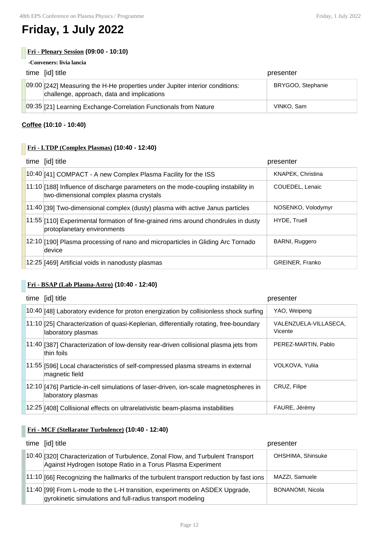# **Friday, 1 July 2022**

# **Fri - Plenary Session (09:00 - 10:10)**

#### **-Conveners: livia lancia**

| time [id] title                                                                                                            | presenter         |
|----------------------------------------------------------------------------------------------------------------------------|-------------------|
| 09:00 [242] Measuring the H-He properties under Jupiter interior conditions:<br>challenge, approach, data and implications | BRYGOO, Stephanie |
| 09:35 [21] Learning Exchange-Correlation Functionals from Nature                                                           | VINKO, Sam        |

# **Coffee (10:10 - 10:40)**

# **Fri - LTDP (Complex Plasmas) (10:40 - 12:40)**

| time [id] title                                                                                                                | presenter              |
|--------------------------------------------------------------------------------------------------------------------------------|------------------------|
| 10:40 [41] COMPACT - A new Complex Plasma Facility for the ISS                                                                 | KNAPEK, Christina      |
| $11:10$ [188] Influence of discharge parameters on the mode-coupling instability in<br>two-dimensional complex plasma crystals | COUEDEL, Lenaic        |
| 11:40 [39] Two-dimensional complex (dusty) plasma with active Janus particles                                                  | NOSENKO, Volodymyr     |
| $ 11:55 110 $ Experimental formation of fine-grained rims around chondrules in dusty<br>protoplanetary environments            | <b>HYDE. Truell</b>    |
| 12:10 [190] Plasma processing of nano and microparticles in Gliding Arc Tornado<br>device                                      | BARNI, Ruggero         |
| 12:25 [469] Artificial voids in nanodusty plasmas                                                                              | <b>GREINER, Franko</b> |

# **Fri - BSAP (Lab Plasma-Astro) (10:40 - 12:40)**

| time [id] title                                                                                              | presenter                        |
|--------------------------------------------------------------------------------------------------------------|----------------------------------|
| 10:40 [48] Laboratory evidence for proton energization by collisionless shock surfing                        | YAO, Weipeng                     |
| 11:10 [25] Characterization of quasi-Keplerian, differentially rotating, free-boundary<br>laboratory plasmas | VALENZUELA-VILLASECA.<br>Vicente |
| 11:40 [387] Characterization of low-density rear-driven collisional plasma jets from<br>thin foils           | PEREZ-MARTIN, Pablo              |
| $[11:55]$ [596] Local characteristics of self-compressed plasma streams in external<br>magnetic field        | VOLKOVA, Yuliia                  |
| 12:10 [476] Particle-in-cell simulations of laser-driven, ion-scale magnetospheres in<br>laboratory plasmas  | CRUZ, Filipe                     |
| 12:25 [408] Collisional effects on ultrarelativistic beam-plasma instabilities                               | FAURE, Jérémy                    |

# **Fri - MCF (Stellarator Turbulence) (10:40 - 12:40)**

| time [id] title                                                                                                                                | presenter               |
|------------------------------------------------------------------------------------------------------------------------------------------------|-------------------------|
| 10:40 [320] Characterization of Turbulence, Zonal Flow, and Turbulent Transport<br>Against Hydrogen Isotope Ratio in a Torus Plasma Experiment | OHSHIMA, Shinsuke       |
| 11:10 [66] Recognizing the hallmarks of the turbulent transport reduction by fast ions                                                         | MAZZI, Samuele          |
| 11:40 [99] From L-mode to the L-H transition, experiments on ASDEX Upgrade,<br>gyrokinetic simulations and full-radius transport modeling      | <b>BONANOMI, Nicola</b> |